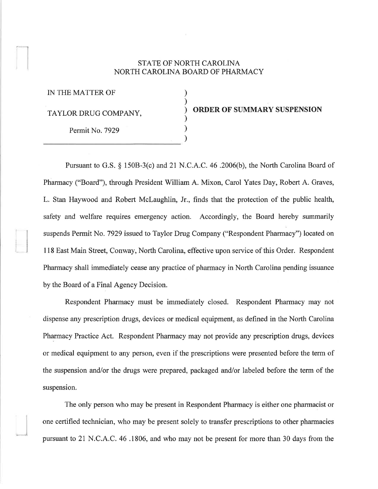## STATE OF NORTH CAROLINA NORTH CAROLINA BOARD OF PHARMACY

) ) ) ) ) )

IN THE MATTER OF TAYLOR DRUG COMPANY,  $\overrightarrow{O}$  **ORDER OF SUMMARY SUSPENSION** Permit No. 7929

Pursuant to G.S. § 150B-3(c) and 21 N.C.A.C. 46 .2006(b), the North Carolina Board of Pharmacy ("Board"), through President William A. Mixon, Carol Yates Day, Robert A. Graves, L. Stan Haywood and Robert Mclaughlin, Jr., finds that the protection of the public health, safety and welfare requires emergency action. Accordingly, the Board hereby summarily suspends Permit No. 7929 issued to Taylor Drug Company ("Respondent Pharmacy") located on 118 East Main Street, Conway, North Carolina, effective upon service of this Order. Respondent Pharmacy shall immediately cease any practice of pharmacy in North Carolina pending issuance by the Board of a Final Agency Decision.

Respondent Pharmacy must be immediately closed. Respondent Pharmacy may not dispense any prescription drugs, devices or medical equipment, as defined in the North Carolina Pharmacy Practice Act. Respondent Pharmacy may not provide any prescription drugs, devices or medical equipment to any person, even if the prescriptions were presented before the term of the suspension and/or the drugs were prepared, packaged and/or labeled before the term of the suspension.

The only person who may be present in Respondent Pharmacy is either one pharmacist or one certified technician, who may be present solely to transfer prescriptions to other pharmacies pursuant to 21 N.C. A.C. 46.1806, and who may not be present for more than 30 days from the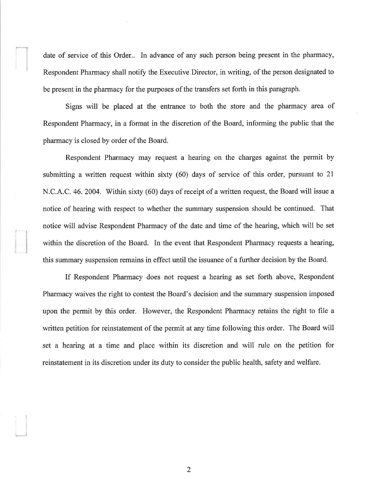date of service of this Order.. In advance of any such person being present in the pharmacy, Respondent Pharmacy shall notify the Executive Director, in writing, of the person designated to be present in the pharmacy for the purposes of the transfers set forth in this paragraph.

Signs will be placed at the entrance to both the store and the pharmacy area of Respondent Pharmacy, in a format in the discretion of the Board, informing the public that the pharmacy is closed by order of the Board.

Respondent Pharmacy may request a hearing on the charges against the permit by submitting a written request within sixty (60) days of service of this order, pursuant to 21 N.C.A.C. 46. 2004. Within sixty (60) days of receipt of a written request, the Board will issue a notice of hearing with respect to whether the summary suspension should be continued. That notice will advise Respondent Pharmacy of the date and time of the hearing, which will be set within the discretion of the Board. In the event that Respondent Pharmacy requests a hearing, this summary suspension remains in effect until the issuance of a fuither decision by the Board.

If Respondent Pharmacy does not request a hearing as set forth above, Respondent Pharmacy waives the right to contest the Board's decision and the summary suspension imposed upon the permit by this order. However, the Respondent Pharmacy retains the right to file a written petition for reinstatement of the permit at any time following this order. The Board will set a hearing at a time and place within its discretion and will rule on the petition for reinstatement in its discretion under its duty to consider the public health, safety and welfare.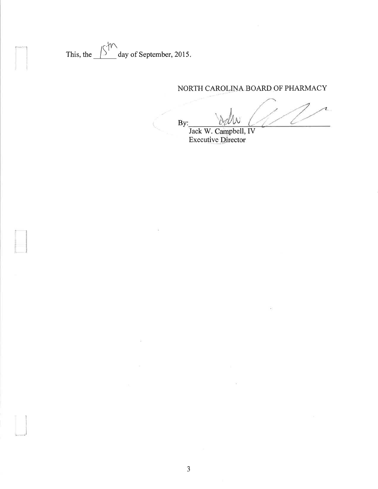This, the  $\frac{\sqrt{S}}{S}$ day of September, 2015.

## NORTH CAROLINA BOARD OF PHARMACY

z, By: L

Jack W. Campbell, IV<br>Executive Director